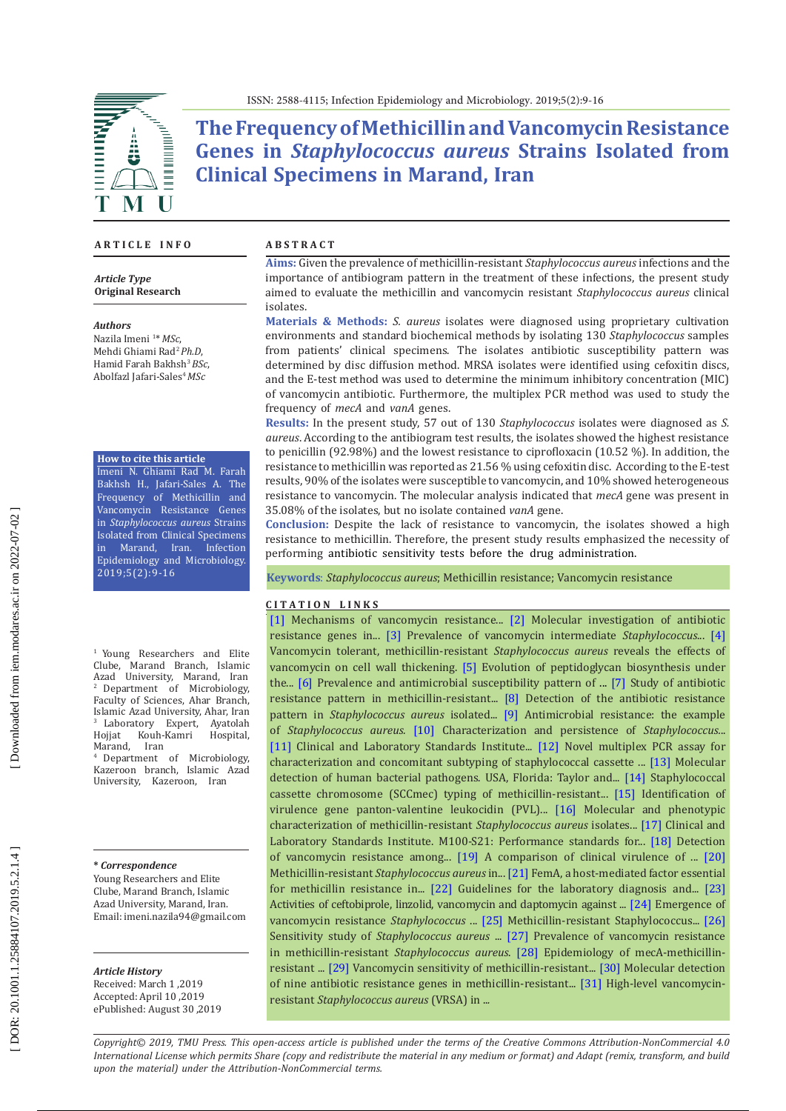



**The Frequency of Methicillin and Vancomycin Resistance Genes in** *Staphylococcus aureus* **Strains Isolated from Clinical Specimens in Marand, Iran** 

### **A R T I C L E I N F O**

*Article Type* **Original Research**

#### *Authors*

Nazila Imeni 1 \* *MSc*, Mehdi Ghiami Rad <sup>2</sup>*Ph.D*, Hamid Farah Bakhsh <sup>3</sup>*BSc*, Abolfazl Jafari-Sales <sup>4</sup>*MSc*

**How to cite this article**

Imeni N. Ghiami Rad M. Farah Bakhsh H., Jafari-Sales A. The Frequency of Methicillin and Vancomycin Resistance Genes in *Staphylococcus aureus* Strains Isolated from Clinical Specimens<br>in Marand. Iran. Infection Marand, Iran. Epidemiology and Microbiology. 2019;5(2):9-16

<sup>1</sup> Young Researchers and Elite Clube, Marand Branch, Islamic Azad University, Marand, Iran 2 Department of Microbiology, Faculty of Sciences, Ahar Branch, Islamic Azad University, Ahar, Iran 3 Laboratory Expert, Ayatolah <sup>3</sup> Laboratory Exper<br>Hojjat Kouh-Kamri Kouh-Kamri Hospital,<br>Iran Marand.

Department of Microbiology, Kazeroon branch, Islamic Azad University, Kazeroon, Iran

### **\*** *Correspondence*

Young Researchers and Elite Clube, Marand Branch, Islamic Azad University, Marand, Iran. Email: imeni.nazila94@gmail.com

#### *Article History*

Received: March 1 ,2019 Accepted: April 10 ,2019 ePublished: August 30 ,2019

### **A B S T R A C T**

**Aims:** Given the prevalence of methicillin-resistant *Staphylococcus aureus* infections and the importance of antibiogram pattern in the treatment of these infections, the present study aimed to evaluate the methicillin and vancomycin resistant *Staphylococcus aureus* clinical isolates.

**Materials & Methods:** *S. aureus* isolates were diagnosed using proprietary cultivation environments and standard biochemical methods by isolating 130 *Staphylococcus* samples from patients' clinical specimens. The isolates antibiotic susceptibility pattern was determined by disc diffusion method. MRSA isolates were identified using cefoxitin discs, and the E-test method was used to determine the minimum inhibitory concentration (MIC) of vancomycin antibiotic. Furthermore, the multiplex PCR method was used to study the frequency of *mecA* and *vanA* genes.

**Results:** In the present study, 57 out of 130 *Staphylococcus* isolates were diagnosed as *S. aureus*. According to the antibiogram test results, the isolates showed the highest resistance to penicillin (92.98%) and the lowest resistance to ciprofloxacin (10.52 %). In addition, the resistance to methicillin was reported as 21.56 % using cefoxitin disc. According to the E-test results, 90% of the isolates were susceptible to vancomycin, and 10% showed heterogeneous resistance to vancomycin. The molecular analysis indicated that *mecA* gene was present in 35.08% of the isolates, but no isolate contained *vanA* gene.

**Conclusion:** Despite the lack of resistance to vancomycin, the isolates showed a high resistance to methicillin. Therefore, the present study results emphasized the necessity of performing antibiotic sensitivity tests before the drug administration.

**Keywords**: *Staphylococcus aureus*; Methicillin resistance; Vancomycin resistance

### **C I T A T I O N L I N K S**

[\[1\]](https://www.ncbi.nlm.nih.gov/pubmed/24983424) Mechanisms of vancomycin resistance... [\[2\]](http://www.academicjournals.org/app/webroot/article/article1380277525_Zmantar%20et%20al.pdf) Molecular investigation of antibiotic resistance genes in... [\[3\]](https://www.ncbi.nlm.nih.gov/pubmed/26320398) Prevalence of vancomycin intermediate *Staphylococcus*... [\[4\]](https://www.ncbi.nlm.nih.gov/pubmed/25793280)  Vancomycin tolerant, methicillin-resistant *Staphylococcus aureus* reveals the effects of vancomycin on cell wall thickening. [\[5\]](https://www.ncbi.nlm.nih.gov/pubmed/18266857) Evolution of peptidoglycan biosynthesis under the... [\[6\]](https://www.sciencedirect.com/science/article/pii/S1016319014001220) Prevalence and antimicrobial susceptibility pattern of ... [\[7\] S](http://www.ijbmph.com/article_61059.html)tudy of antibiotic resistance pattern in methicillin-resistant... [\[8\]](https://www.sid.ir/en/journal/ViewPaper.aspx?id=411753) Detection of the antibiotic resistance pattern in *Staphylococcus aureus* isolated... [\[9\]](https://www.ncbi.nlm.nih.gov/pubmed/12727914) Antimicrobial resistance: the example of *Staphylococcus aureus.* [\[10\]](https://www.ncbi.nlm.nih.gov/pubmed/20335416) Characterization and persistence of *Staphylococcus.*.. [\[11\]](https://clsi.org/standards/products/microbiology/documents/m100/) Clinical and Laboratory Standards Institute... [\[12\]](https://www.ncbi.nlm.nih.gov/pubmed/16207957) Novel multiplex PCR assay for characterization and concomitant subtyping of staphylococcal cassette ... [\[13\]](https://www.taylorfrancis.com/books/9780429146626) Molecular detection of human bacterial pathogens. USA, Florida: Taylor and... [\[14\]](http://ajcmi.umsha.ac.ir/Article/ajcmi-103) Staphylococcal cassette chromosome (SCCmec) typing of methicillin-resistant... [\[15\]](http://journal.rums.ac.ir/browse.php?a_id=2485&sid=1&slc_lang=en) Identification of virulence gene panton-valentine leukocidin (PVL)... [\[16\]](https://www.ncbi.nlm.nih.gov/pmc/articles/PMC4934148/) Molecular and phenotypic characterization of methicillin-resistant *Staphylococcus aureus* isolates... [\[17\]](http://ljzx.cqrmhospital.com/upfiles/201601/20160112155335884.pdf) Clinical and Laboratory Standards Institute. M100-S21: Performance standards for... [\[18\] D](https://www.ncbi.nlm.nih.gov/pubmed/27042459)etection of vancomycin resistance among... [\[19\]](https://www.cambridge.org/core/journals/infection-control-and-hospital-epidemiology/article/comparison-of-clinical-virulence-of-nosocomially-acquired-methicillinresistant-and-methicillinsensitiye-staphylococcus-aureus-infections-in-a-university-hospital/3\
A4203F88A38D65CAB5C9650CC6F9B07) A comparison of clinical virulence of ... [\[20\]](https://www.ncbi.nlm.nih.gov/pubmed/16618236) Methicillin-resistant *Staphylococcus aureus* in... [\[21\]](https://www.ncbi.nlm.nih.gov/pubmed/2559314) FemA, a host-mediated factor essential for methicillin resistance in... [\[22\]](https://www.ncbi.nlm.nih.gov/pubmed/16293678) Guidelines for the laboratory diagnosis and... [\[23\]](https://www.ncbi.nlm.nih.gov/pubmed/18519721) Activities of ceftobiprole, linzolid, vancomycin and daptomycin against ... [\[24\]](https://www.ncbi.nlm.nih.gov/pubmed/17067393) Emergence of vancomycin resistance *Staphylococcus* ... [\[25\]](https://www.ncbi.nlm.nih.gov/pubmed/16046461) Methicillin-resistant Staphylococcus... [\[26\]](http://majalleh.tbzmed.ac.ir/Abstract.aspx?Abstract=6225)  Sensitivity study of *Staphylococcus aureus* ... [\[27\]](http://jkmu.kmu.ac.ir/article_16191.html) Prevalence of vancomycin resistance in methicillin-resistant *Staphylococcus aureus*. [\[28\]](https://www.ncbi.nlm.nih.gov/pmc/articles/PMC3586924/) Epidemiology of mecA-methicillinresistant ... [\[29\]](http://ijmm.ir/browse.php?a_id=378&sid=1&slc_lang=en) Vancomycin sensitivity of methicillin-resistant... [\[30\]](https://www.ncbi.nlm.nih.gov/pubmed/25518565) Molecular detection of nine antibiotic resistance genes in methicillin-resistant... [\[31\]](http://jmb.tums.ac.ir/index.php/jmb/article/view/28) High-level vancomycinresistant *Staphylococcus aureus* (VRSA) in ..*.*

*Copyright© 2019, TMU Press. This open-access article is published under the terms of the Creative Commons Attribution-NonCommercial 4.0 International License which permits Share (copy and redistribute the material in any medium or format) and Adapt (remix, transform, and build upon the material) under the Attribution-NonCommercial terms.*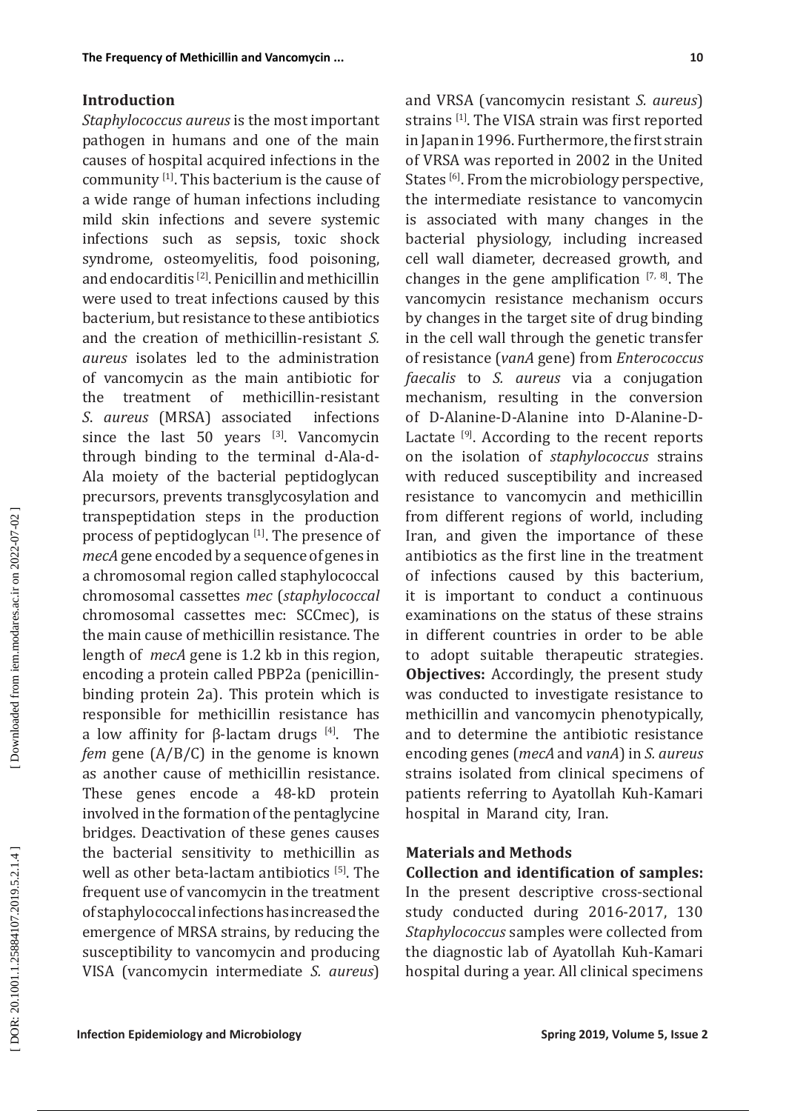## **Introduction**

*Staphylococcus aureus* is the most important pathogen in humans and one of the main causes of hospital acquired infections in the community [1]. This bacterium is the cause of a wide range of human infections including mild skin infections and severe systemic infections such as sepsis, toxic shock syndrome, osteomyelitis, food poisoning, and endocarditis [2]. Penicillin and methicillin were used to treat infections caused by this bacterium, but resistance to these antibiotics and the creation of methicillin-resistant *S. aureus* isolates led to the administration of vancomycin as the main antibiotic for of methicillin-resistant *S*. *aureus* (MRSA) associated infections since the last 50 years [3]. Vancomycin through binding to the terminal d-Ala-d-Ala moiety of the bacterial peptidoglycan precursors, prevents transglycosylation and transpeptidation steps in the production process of peptidoglycan [1]. The presence of *mecA* gene encoded by a sequence of genes in a chromosomal region called staphylococcal chromosomal cassettes *mec* (*staphylococcal*  chromosomal cassettes mec: SCCmec), is the main cause of methicillin resistance. The length of *mecA* gene is 1 .2 kb in this region, encoding a protein called PBP2a (penicillinbinding protein 2a). This protein which is responsible for methicillin resistance has a low affinity for β-lactam drugs  $[4]$ . The *fem* gene (A/B/C) in the genome is known as another cause of methicillin resistance. These genes encode a 48-kD protein involved in the formation of the pentaglycine bridges. Deactivation of these genes causes the bacterial sensitivity to methicillin as well as other beta-lactam antibiotics [5]. The frequent use of vancomycin in the treatment of staphylococcal infections has increased the emergence of MRSA strains, by reducing the susceptibility to vancomycin and producing VISA (vancomycin intermediate *S. aureus*)

and VRSA (vancomycin resistant *S. aureus*) strains [1]. The VISA strain was first reported in Japan in 1996. Furthermore, the first strain of VRSA was reported in 2002 in the United States [6]. From the microbiology perspective, the intermediate resistance to vancomycin is associated with many changes in the bacterial physiology, including increased cell wall diameter, decreased growth, and changes in the gene amplification  $[7, 8]$ . The vancomycin resistance mechanism occurs by changes in the target site of drug binding in the cell wall through the genetic transfer of resistance (*vanA* gene) from *Enterococcus faecalis* to *S. aureus* via a conjugation mechanism, resulting in the conversion of D-Alanine-D-Alanine into D-Alanine-D-Lactate <sup>[9]</sup>. According to the recent reports on the isolation of *staphylococcus* strains with reduced susceptibility and increased resistance to vancomycin and methicillin from different regions of world, including Iran, and given the importance of these antibiotics as the first line in the treatment of infections caused by this bacterium, it is important to conduct a continuous examinations on the status of these strains in different countries in order to be able to adopt suitable therapeutic strategies. **Objectives:** Accordingly, the present study was conducted to investigate resistance to methicillin and vancomycin phenotypically, and to determine the antibiotic resistance encoding genes (*mecA* and *vanA*) in *S. aureus* strains isolated from clinical specimens of patients referring to Ayatollah Kuh-Kamari hospital in Marand city, Iran.

# **Materials and Methods**

**Collection and identification of samples:**  In the present descriptive cross -sectional study conducted during 2016-2017, 130 *Staphylococcus* samples were collected from the diagnostic lab of Ayatollah Kuh-Kamari hospital during a year. All clinical specimens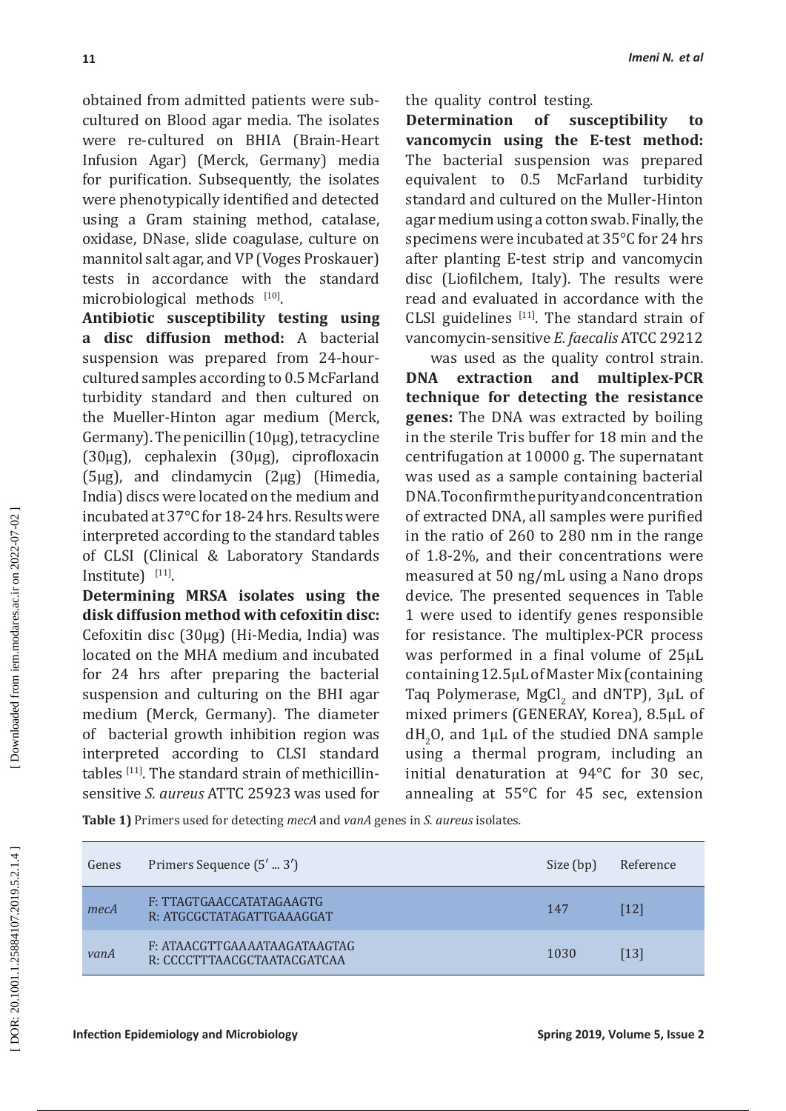obtained from admitted patients were subcultured on Blood agar media. The isolates were re-cultured on BHIA (Brain-Heart Infusion Agar) (Merck, Germany) media for purification. Subsequently, the isolates were phenotypically identified and detected using a Gram staining method, catalase, oxidase, DNase, slide coagulase, culture on mannitol salt agar, and VP (Voges Proskauer) tests in accordance with the standard microbiological methods  $[10]$ .

**Antibiotic susceptibility testing using a disc diffusion method:** A bacterial suspension was prepared from 24-hourcultured samples according to 0.5 McFarland turbidity standard and then cultured on the Mueller-Hinton agar medium (Merck, Germany). The penicillin (10μg), tetracycline (30μg), cephalexin (30μg), ciprofloxacin (5μg), and clindamycin (2μg) (Himedia, India) discs were located on the medium and incubated at 37°C for 18-24 hrs. Results were interpreted according to the standard tables of CLSI (Clinical & Laboratory Standards  $Institute)$ <sup>[11]</sup>.

**Determining MRSA isolates using the disk diffusion method with cefoxitin disc:** Cefoxitin disc (30μg) (Hi-Media, India) was located on the MHA medium and incubated for 24 hrs after preparing the bacterial suspension and culturing on the BHI agar medium (Merck, Germany). The diameter of bacterial growth inhibition region was interpreted according to CLSI standard tables  $^{[11]}$ . The standard strain of methicillinsensitive *S. aureus* ATTC 25923 was used for

the quality control testing.

**Determination of susceptibility to vancomycin using the E-test method:**  The bacterial suspension was prepared equivalent to 0.5 McFarland turbidity standard and cultured on the Muller-Hinton agar medium using a cotton swab. Finally, the specimens were incubated at 35°C for 24 hrs after planting E-test strip and vancomycin disc (Liofilchem, Italy). The results were read and evaluated in accordance with the CLSI guidelines  $[11]$ . The standard strain of vancomycin-sensitive *E. faecalis* ATCC 29212

was used as the quality control strain. **DNA extraction and multiplex-PCR technique for detecting the resistance genes:** The DNA was extracted by boiling in the sterile Tris buffer for 18 min and the centrifugation at 10000 g. The supernatant was used as a sample containing bacterial DNA. To confirm the purity and concentration of extracted DNA, all samples were purified in the ratio of 260 to 280 nm in the range of 1.8-2%, and their concentrations were measured at 50 ng/mL using a Nano drops device. The presented sequences in Table 1 were used to identify genes responsible for resistance. The multiplex-PCR process was performed in a final volume of 25μL containing 12.5μL of Master Mix (containing Taq Polymerase, MgCl<sub>2</sub> and dNTP), 3 $\mu$ L of 2 mixed primers (GENERAY, Korea), 8.5μL of  $dH_2$ O, and  $1\mu$ L of the studied DNA sample 2 using a thermal program, including an initial denaturation at 94°C for 30 sec, annealing at 55°C for 45 sec, extension

**Table 1)** Primers used for detecting *mecA* and *vanA* genes in *S. aureus* isolates *.*

| Genes | Primers Sequence (5'  3')                                   | Size (bp) | Reference |
|-------|-------------------------------------------------------------|-----------|-----------|
| mecA  | F: TTAGTGAACCATATAGAAGTG<br>R: ATGCGCTATAGATTGAAAGGAT       | 147       | [12]      |
| vanA  | F: ATAACGTTGAAAATAAGATAAGTAG<br>R: CCCCTTTAACGCTAATACGATCAA | 1030      | [13]      |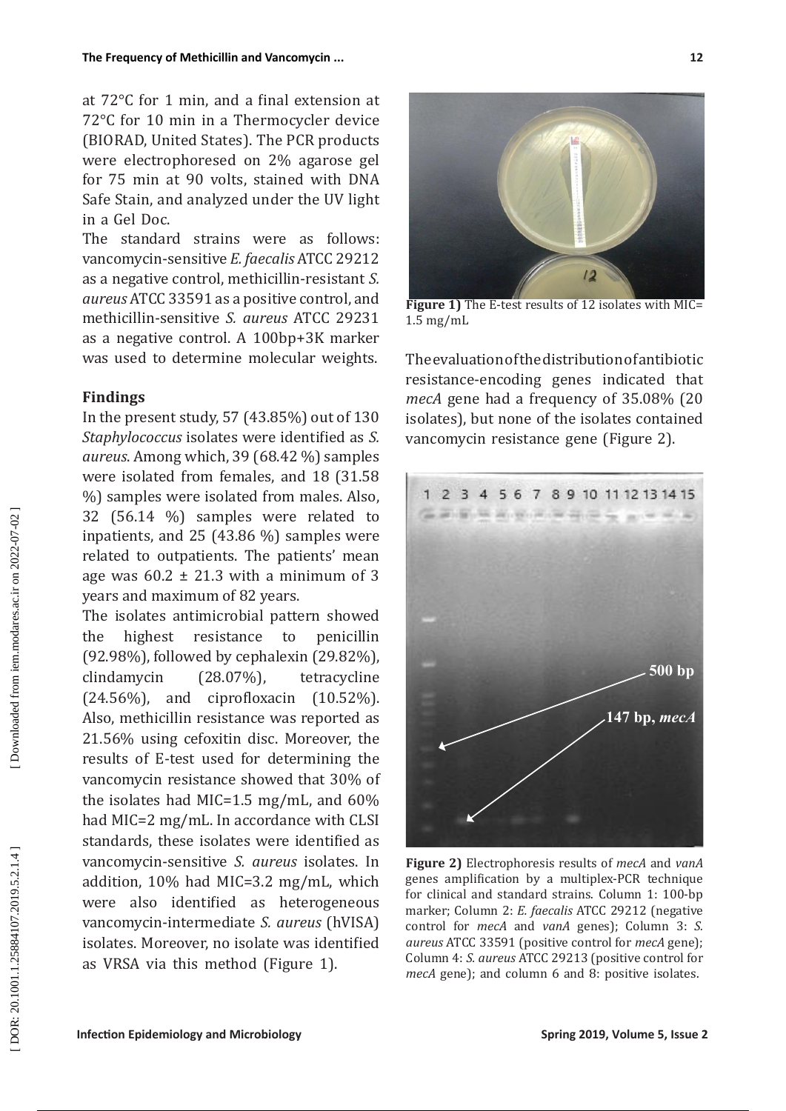at 72°C for 1 min, and a final extension at 72°C for 10 min in a Thermocycler device (BIORAD, United States). The PCR products were electrophoresed on 2% agarose gel for 75 min at 90 volts, stained with DNA Safe Stain, and analyzed under the UV light in a Gel Doc.

The standard strains were as follows: vancomycin-sensitive *E. faecalis* ATCC 29212 as a negative control, methicillin-resistant *S. aureus* ATCC 33591 as a positive control, and methicillin-sensitive *S. aureus* ATCC 29231 as a negative control. A 100bp+3K marker was used to determine molecular weights.

## **Findings**

In the present study, 57 (43.85%) out of 130 *Staphylococcus* isolates were identified as *S. aureus*. Among which, 39 (68.42 %) samples were isolated from females, and 18 (31.58 %) samples were isolated from males. Also, 32 (56.14 %) samples were related to inpatients, and 25 (43.86 %) samples were related to outpatients. The patients' mean age was  $60.2 \pm 21.3$  with a minimum of 3 years and maximum of 82 years.

The isolates antimicrobial pattern showed the highest resistance to penicillin (92.98%), followed by cephalexin (29.82%), clindamycin (28.07%), tetracycline (24.56%), and ciprofloxacin (10.52%). Also, methicillin resistance was reported as 21.56% using cefoxitin disc. Moreover, the results of E-test used for determining the vancomycin resistance showed that 30% of the isolates had MIC=1.5 mg/mL, and 60% had MIC=2 mg/mL. In accordance with CLSI standards, these isolates were identified as vancomycin-sensitive *S. aureus* isolates. In addition, 10% had MIC=3.2 mg/mL, which were also identified as heterogeneous vancomycin-intermediate *S. aureus* (hVISA) isolates. Moreover, no isolate was identified as VRSA via this method (Figure 1).



**Figure 1)** The E-test results of 12 isolates with MIC= 1.5 mg/mL

The evaluation of the distribution of antibiotic resistance-encoding genes indicated that *mecA* gene had a frequency of 35.08% (20 isolates), but none of the isolates contained vancomycin resistance gene (Figure 2).



**Figure 2)** Electrophoresis results of *mecA* and *vanA* genes amplification by a multiplex-PCR technique for clinical and standard strains. Column 1: 100-bp marker; Column 2: *E. faecalis* ATCC 29212 (negative control for *mecA* and *vanA* genes); Column 3: *S. aureus* ATCC 33591 (positive control for *mecA* gene); Column 4: *S. aureus* ATCC 29213 (positive control for *mecA* gene); and column 6 and 8: positive isolates.

**12**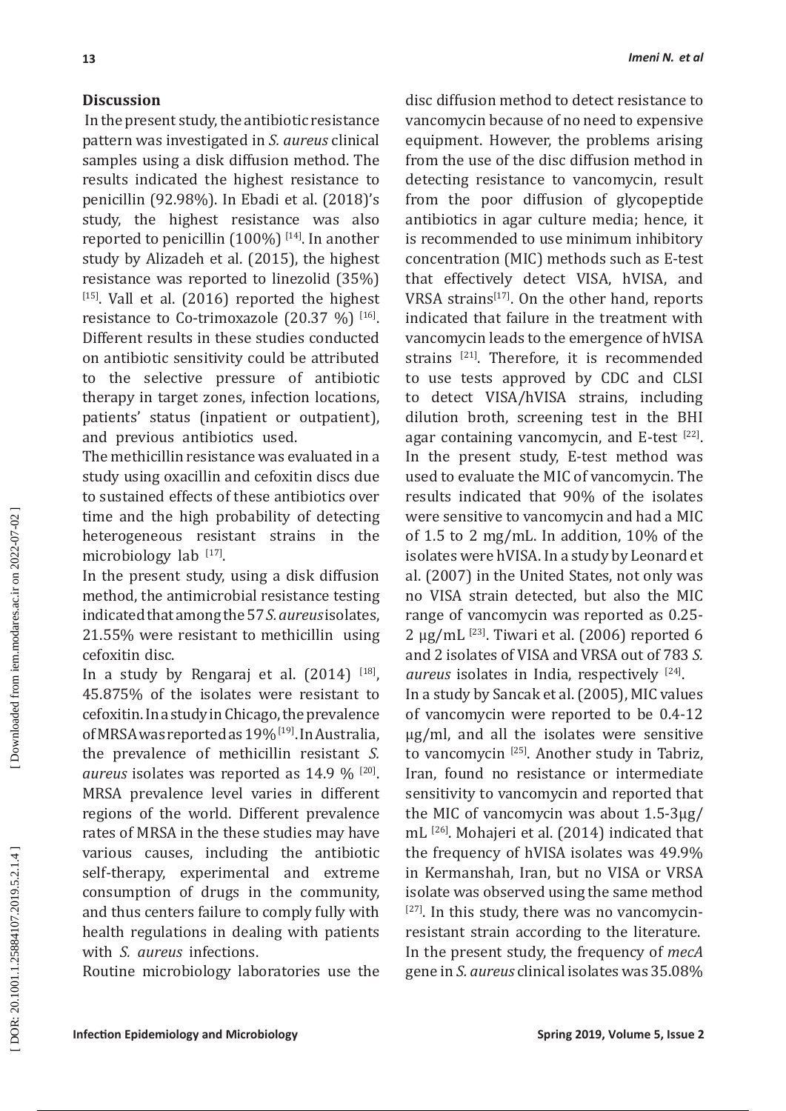## **Discussion**

 In the present study, the antibiotic resistance pattern was investigated in *S. aureus* clinical samples using a disk diffusion method. The results indicated the highest resistance to penicillin (92.98%). In Ebadi et al. (2018)'s study, the highest resistance was also reported to penicillin  $(100\%)$  [14]. In another study by Alizadeh et al. (2015), the highest resistance was reported to linezolid (35%)  $[15]$ . Vall et al. (2016) reported the highest resistance to Co-trimoxazole  $(20.37 \%)$ <sup>[16]</sup>. Different results in these studies conducted on antibiotic sensitivity could be attributed to the selective pressure of antibiotic therapy in target zones, infection locations, patients' status (inpatient or outpatient), and previous antibiotics used.

The methicillin resistance was evaluated in a study using oxacillin and cefoxitin discs due to sustained effects of these antibiotics over time and the high probability of detecting heterogeneous resistant strains in the microbiology lab  $^{[17]}$ .

In the present study, using a disk diffusion method, the antimicrobial resistance testing indicated that among the 57 *S. aureus* isolates, 21.55% were resistant to methicillin using cefoxitin disc.

In a study by Rengaraj et al.  $(2014)$ <sup>[18]</sup>, 45.875% of the isolates were resistant to cefoxitin. In a study in Chicago, the prevalence of MRSA was reported as 19% [19]. In Australia, the prevalence of methicillin resistant *S. aureus* isolates was reported as 14.9 % [20]. MRSA prevalence level varies in different regions of the world. Different prevalence rates of MRSA in the these studies may have various causes, including the antibiotic self-therapy, experimental and extreme consumption of drugs in the community, and thus centers failure to comply fully with health regulations in dealing with patients with *S. aureus* infections.

Routine microbiology laboratories use the

disc diffusion method to detect resistance to vancomycin because of no need to expensive equipment. However, the problems arising from the use of the disc diffusion method in detecting resistance to vancomycin, result from the poor diffusion of glycopeptide antibiotics in agar culture media; hence, it is recommended to use minimum inhibitory concentration (MIC) methods such as E-test that effectively detect VISA, hVISA, and VRSA strains<sup>[17]</sup>. On the other hand, reports indicated that failure in the treatment with vancomycin leads to the emergence of hVISA strains [21]. Therefore, it is recommended to use tests approved by CDC and CLSI to detect VISA/hVISA strains, including dilution broth, screening test in the BHI agar containing vancomycin, and E-test  $[22]$ . In the present study, E-test method was used to evaluate the MIC of vancomycin. The results indicated that 90% of the isolates were sensitive to vancomycin and had a MIC of 1.5 to 2 mg/mL. In addition, 10% of the isolates were hVISA. In a study by Leonard et al. (2007) in the United States, not only was no VISA strain detected, but also the MIC range of vancomycin was reported as 0.25- 2 μg/mL  $^{[23]}$ . Tiwari et al. (2006) reported 6 and 2 isolates of VISA and VRSA out of 783 *S.*  aureus isolates in India, respectively <sup>[24]</sup>. In a study by Sancak et al. (2005), MIC values of vancomycin were reported to be 0.4-12 μg/ml, and all the isolates were sensitive to vancomycin [25]. Another study in Tabriz, Iran, found no resistance or intermediate sensitivity to vancomycin and reported that the MIC of vancomycin was about 1.5-3μg/ mL [26]. Mohajeri et al. (2014) indicated that the frequency of hVISA isolates was 49.9% in Kermanshah, Iran, but no VISA or VRSA isolate was observed using the same method  $[27]$ . In this study, there was no vancomycinresistant strain according to the literature. In the present study, the frequency of *mecA* gene in *S. aureus* clinical isolates was 35.08%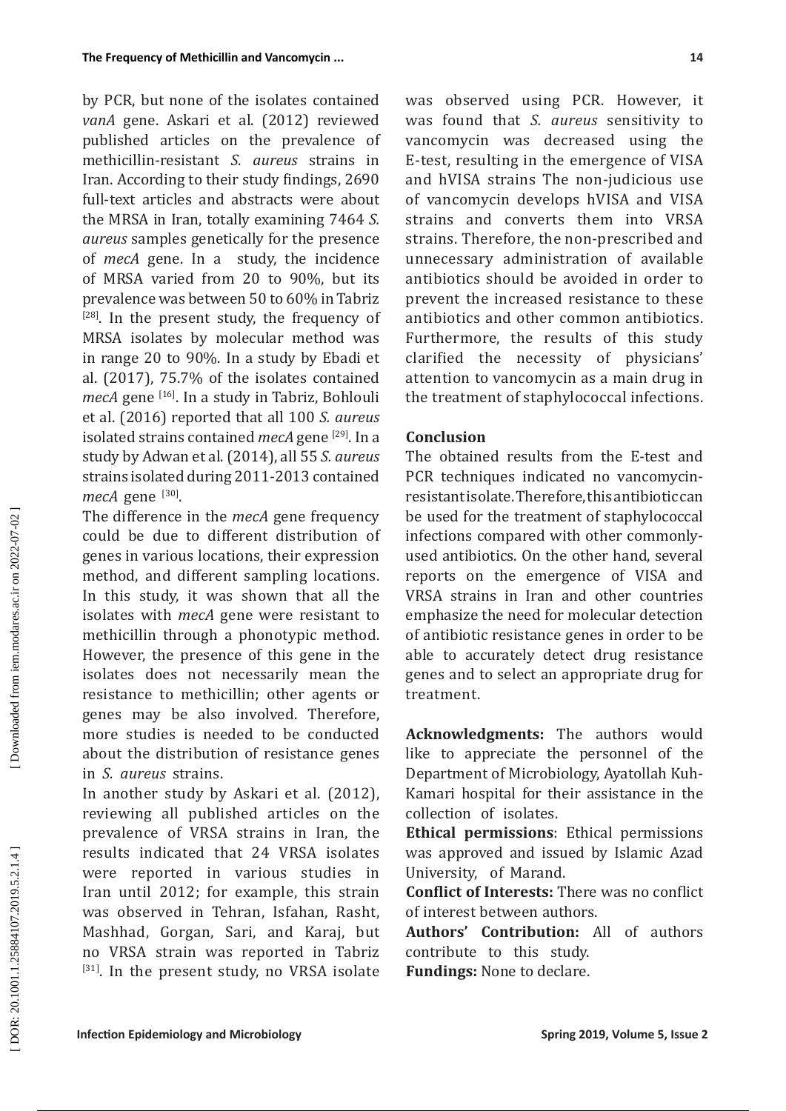by PCR, but none of the isolates contained *vanA* gene. Askari et al. (2012) reviewed published articles on the prevalence of methicillin-resistant *S. aureus* strains in Iran. According to their study findings, 2690 full-text articles and abstracts were about the MRSA in Iran, totally examining 7464 *S. aureus* samples genetically for the presence of *mecA* gene. In a study, the incidence of MRSA varied from 20 to 90%, but its prevalence was between 50 to 60% in Tabriz  $[28]$ . In the present study, the frequency of MRSA isolates by molecular method was in range 20 to 90%. In a study by Ebadi et al. (2017), 75.7% of the isolates contained *mecA* gene [16]. In a study in Tabriz, Bohlouli et al. (2016) reported that all 100 *S. aureus* isolated strains contained *mecA* gene [29]. In a study by Adwan et al. (2014), all 55 *S. aureus* strains isolated during 2011-2013 contained *mecA* gene [30] .

The difference in the *mecA* gene frequency could be due to different distribution of genes in various locations, their expression method, and different sampling locations. In this study, it was shown that all the isolates with *mecA* gene were resistant to methicillin through a phonotypic method. However, the presence of this gene in the isolates does not necessarily mean the resistance to methicillin; other agents or genes may be also involved. Therefore, more studies is needed to be conducted about the distribution of resistance genes in *S. aureus* strains.

In another study by Askari et al. (2012), reviewing all published articles on the prevalence of VRSA strains in Iran, the results indicated that 24 VRSA isolates were reported in various studies in Iran until 2012; for example, this strain was observed in Tehran, Isfahan, Rasht, Mashhad, Gorgan, Sari, and Karaj, but no VRSA strain was reported in Tabriz [31]. In the present study, no VRSA isolate was observed using PCR. However, it was found that *S. aureus* sensitivity to vancomycin was decreased using the E-test, resulting in the emergence of VISA and hVISA strains The non-judicious use of vancomycin develops hVISA and VISA strains and converts them into VRSA strains. Therefore, the non-prescribed and unnecessary administration of available antibiotics should be avoided in order to prevent the increased resistance to these antibiotics and other common antibiotics. Furthermore, the results of this study clarified the necessity of physicians' attention to vancomycin as a main drug in the treatment of staphylococcal infections.

## **Conclusion**

The obtained results from the E-test and PCR techniques indicated no vancomycinresistant isolate. Therefore, this antibiotic can be used for the treatment of staphylococcal infections compared with other commonlyused antibiotics. On the other hand, several reports on the emergence of VISA and VRSA strains in Iran and other countries emphasize the need for molecular detection of antibiotic resistance genes in order to be able to accurately detect drug resistance genes and to select an appropriate drug for treatment.

**Acknowledgments:** The authors would like to appreciate the personnel of the Department of Microbiology, Ayatollah Kuh-Kamari hospital for their assistance in the collection of isolates .

**Ethical permissions**: Ethical permissions was approved and issued by Islamic Azad University, of Marand.

**Conflict of Interests:** There was no conflict of interest between authors.

**Authors' Contribution:** All of authors contribute to this study.

**Fundings:** None to declare.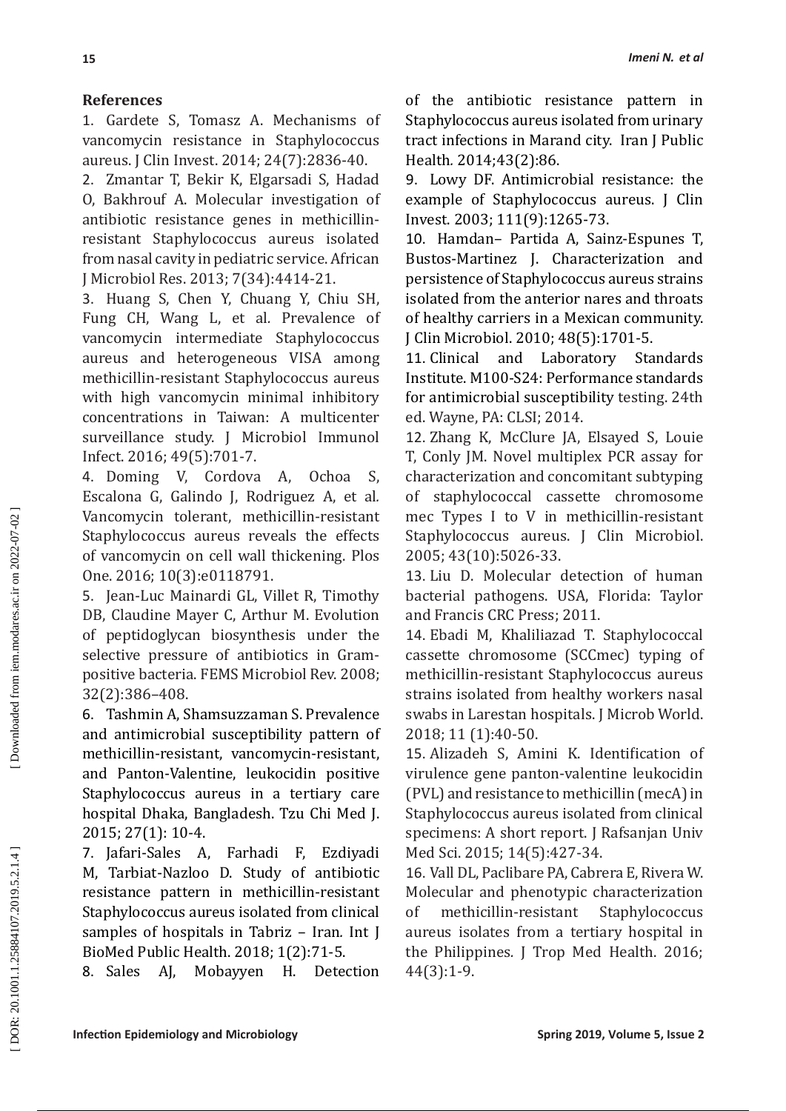# **References**

1. Gardete S, Tomasz A. Mechanisms of vancomycin resistance in Staphylococcus aureus. J Clin Invest. 2014; 24(7):2836-40 .

2. Zmantar T, Bekir K, Elgarsadi S, Hadad O, Bakhrouf A. Molecular investigation of antibiotic resistance genes in methicillinresistant Staphylococcus aureus isolated from nasal cavity in pediatric service. African J Microbiol Res. 2013; 7(34):4414-21 .

3. Huang S, Chen Y, Chuang Y, Chiu SH, Fung CH, Wang L, et al *.* Prevalence of vancomycin intermediate Staphylococcus aureus and heterogeneous VISA among methicillin-resistant Staphylococcus aureus with high vancomycin minimal inhibitory concentrations in Taiwan: A multicenter surveillance study. J Microbiol Immunol Infect. 2016; 49(5):701-7 .

4. Doming V, Cordova A, Ochoa S, Escalona G, Galindo J, Rodriguez A, et al *.* Vancomycin tolerant, methicillin-resistant Staphylococcus aureus reveals the effects of vancomycin on cell wall thickening. Plos One. 2016; 10(3):e0118791 .

5. Jean-Luc Mainardi GL, Villet R, Timothy DB, Claudine Mayer C, Arthur M. Evolution of peptidoglycan biosynthesis under the selective pressure of antibiotics in Grampositive bacteria. FEMS Microbiol Rev. 2008; 32(2):386–408 .

6. Tashmin A, Shamsuzzaman S. Prevalence and antimicrobial susceptibility pattern of methicillin-resistant, vancomycin-resistant, and Panton-Valentine, leukocidin positive Staphylococcus aureus in a tertiary care hospital Dhaka, Bangladesh. Tzu Chi Med J. 2015; 27(1): 10-4 .

7. Jafari-Sales A, Farhadi F, Ezdiyadi M, Tarbiat-Nazloo D. Study of antibiotic resistance pattern in methicillin-resistant Staphylococcus aureus isolated from clinical samples of hospitals in Tabriz – Iran*.* Int J BioMed Public Health. 2018; 1(2):71-5.

8. Sales AJ, Mobayyen H. Detection

of the antibiotic resistance pattern in Staphylococcus aureus isolated from urinary tract infections in Marand city. Iran J Public Health*.* 2014;43(2):86 .

9. Lowy DF. Antimicrobial resistance: the example of Staphylococcus aureus. J Clin Invest. 2003; 111(9):1265-73 .

10. Hamdan– Partida A, Sainz-Espunes T, Bustos-Martinez J. Characterization and persistence of Staphylococcus aureus strains isolated from the anterior nares and throats of healthy carriers in a Mexican community. J Clin Microbiol. 2010; 48(5):1701-5 .

11. Clinical and Laboratory Standards Institute. M100-S24: Performance standards for antimicrobial susceptibility testing. 24th ed. Wayne, PA: CLSI; 2014 .

12. Zhang K, McClure JA, Elsayed S, Louie T, Conly JM. Novel multiplex PCR assay for characterization and concomitant subtyping of staphylococcal cassette chromosome mec Types I to V in methicillin-resistant Staphylococcus aureus. J Clin Microbiol. 2005; 43(10):5026-33.

13. Liu D. Molecular detection of human bacterial pathogens. USA, Florida: Taylor and Francis CRC Press; 2011.

14. Ebadi M, Khaliliazad T. Staphylococcal cassette chromosome (SCCmec) typing of methicillin-resistant Staphylococcus aureus strains isolated from healthy workers nasal swabs in Larestan hospitals. J Microb World. 2018; 11 (1):40-50.

15. Alizadeh S, Amini K. Identification of virulence gene panton-valentine leukocidin (PVL) and resistance to methicillin (mecA) in Staphylococcus aureus isolated from clinical specimens: A short report. J Rafsanjan Univ Med Sci. 2015; 14(5):427-34.

16. Vall DL, Paclibare PA, Cabrera E, Rivera W. Molecular and phenotypic characterization of methicillin-resistant Staphylococcus aureus isolates from a tertiary hospital in the Philippines*.* J Trop Med Health. 2016; 44(3):1-9 .